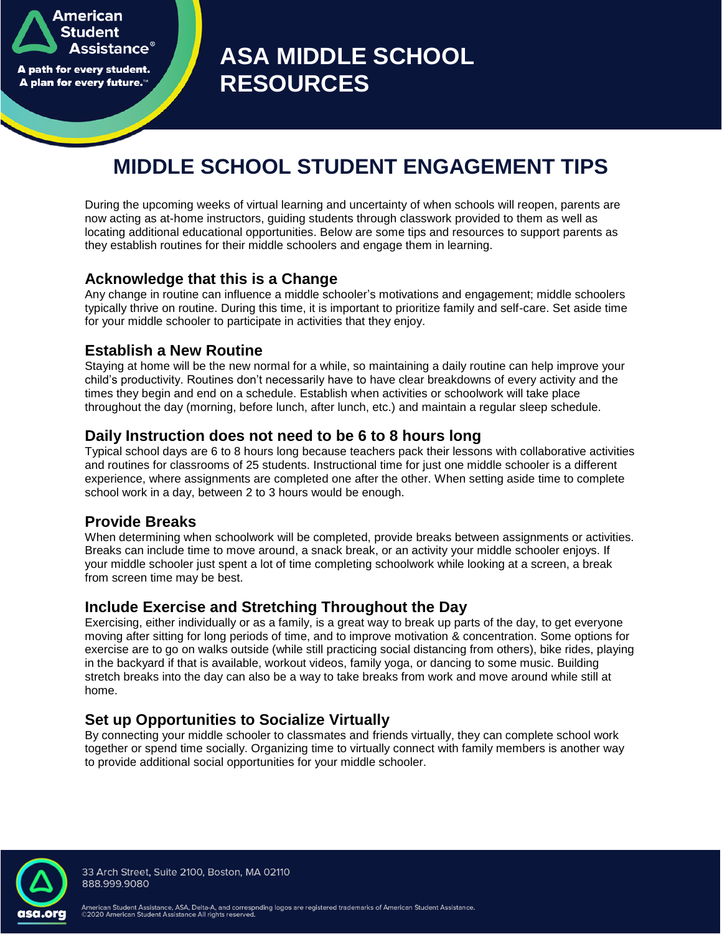American **Student Assistance** A path for every student. A plan for every future."

**ASA MIDDLE SCHOOL RESOURCES**

# **MIDDLE SCHOOL STUDENT ENGAGEMENT TIPS**

During the upcoming weeks of virtual learning and uncertainty of when schools will reopen, parents are now acting as at-home instructors, guiding students through classwork provided to them as well as locating additional educational opportunities. Below are some tips and resources to support parents as they establish routines for their middle schoolers and engage them in learning.

#### **Acknowledge that this is a Change**

Any change in routine can influence a middle schooler's motivations and engagement; middle schoolers typically thrive on routine. During this time, it is important to prioritize family and self-care. Set aside time for your middle schooler to participate in activities that they enjoy.

## **Establish a New Routine**

Staying at home will be the new normal for a while, so maintaining a daily routine can help improve your child's productivity. Routines don't necessarily have to have clear breakdowns of every activity and the times they begin and end on a schedule. Establish when activities or schoolwork will take place throughout the day (morning, before lunch, after lunch, etc.) and maintain a regular sleep schedule.

## **Daily Instruction does not need to be 6 to 8 hours long**

Typical school days are 6 to 8 hours long because teachers pack their lessons with collaborative activities and routines for classrooms of 25 students. Instructional time for just one middle schooler is a different experience, where assignments are completed one after the other. When setting aside time to complete school work in a day, between 2 to 3 hours would be enough.

#### **Provide Breaks**

When determining when schoolwork will be completed, provide breaks between assignments or activities. Breaks can include time to move around, a snack break, or an activity your middle schooler enjoys. If your middle schooler just spent a lot of time completing schoolwork while looking at a screen, a break from screen time may be best.

## **Include Exercise and Stretching Throughout the Day**

Exercising, either individually or as a family, is a great way to break up parts of the day, to get everyone moving after sitting for long periods of time, and to improve motivation & concentration. Some options for exercise are to go on walks outside (while still practicing social distancing from others), bike rides, playing in the backyard if that is available, workout videos, family yoga, or dancing to some music. Building stretch breaks into the day can also be a way to take breaks from work and move around while still at home.

# **Set up Opportunities to Socialize Virtually**

By connecting your middle schooler to classmates and friends virtually, they can complete school work together or spend time socially. Organizing time to virtually connect with family members is another way to provide additional social opportunities for your middle schooler.



33 Arch Street, Suite 2100, Boston, MA 02110 888.999.9080